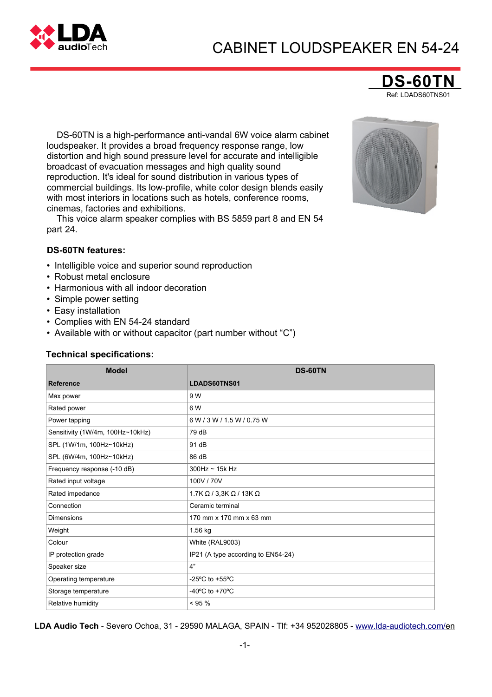# CABINET LOUDSPEAKER EN 54-24



**DS-60** Ref: LDADS60TNS01

DS-60TN is a high-performance anti-vandal 6W voice alarm cabinet loudspeaker. It provides a broad frequency response range, low distortion and high sound pressure level for accurate and intelligible broadcast of evacuation messages and high quality sound reproduction. It's ideal for sound distribution in various types of commercial buildings. Its low-profile, white color design blends easily with most interiors in locations such as hotels, conference rooms, cinemas, factories and exhibitions.

This voice alarm speaker complies with BS 5859 part 8 and EN 54 part 24.



#### **DS-60TN features:**

- Intelligible voice and superior sound reproduction
- Robust metal enclosure
- Harmonious with all indoor decoration
- Simple power setting
- Easy installation
- Complies with EN 54-24 standard
- Available with or without capacitor (part number without "C")

#### **Technical specifications:**

| <b>Model</b>                     | <b>DS-60TN</b>                                       |  |  |
|----------------------------------|------------------------------------------------------|--|--|
| <b>Reference</b>                 | LDADS60TNS01                                         |  |  |
| Max power                        | 9 W                                                  |  |  |
| Rated power                      | 6 W                                                  |  |  |
| Power tapping                    | 6 W / 3 W / 1.5 W / 0.75 W                           |  |  |
| Sensitivity (1W/4m, 100Hz~10kHz) | 79 dB                                                |  |  |
| SPL (1W/1m, 100Hz~10kHz)         | 91 dB                                                |  |  |
| SPL (6W/4m, 100Hz~10kHz)         | 86 dB                                                |  |  |
| Frequency response (-10 dB)      | $300$ Hz ~ 15k Hz                                    |  |  |
| Rated input voltage              | 100V / 70V                                           |  |  |
| Rated impedance                  | 1.7K $\Omega$ / 3,3K $\Omega$ / 13K $\Omega$         |  |  |
| Connection                       | Ceramic terminal                                     |  |  |
| <b>Dimensions</b>                | 170 mm x 170 mm x 63 mm                              |  |  |
| Weight                           | 1.56 kg                                              |  |  |
| Colour                           | White (RAL9003)                                      |  |  |
| IP protection grade              | IP21 (A type according to EN54-24)                   |  |  |
| Speaker size                     | 4"                                                   |  |  |
| Operating temperature            | -25 $\mathrm{^{\circ}C}$ to +55 $\mathrm{^{\circ}C}$ |  |  |
| Storage temperature              | -40 $^{\circ}$ C to +70 $^{\circ}$ C                 |  |  |
| Relative humidity                | $< 95 \%$                                            |  |  |

**LDA Audio Tech** - Severo Ochoa, 31 - 29590 MALAGA, SPAIN - Tlf: +34 952028805 - [www.lda-audiotech.com/en](http://www.lda-audiotech.com/en)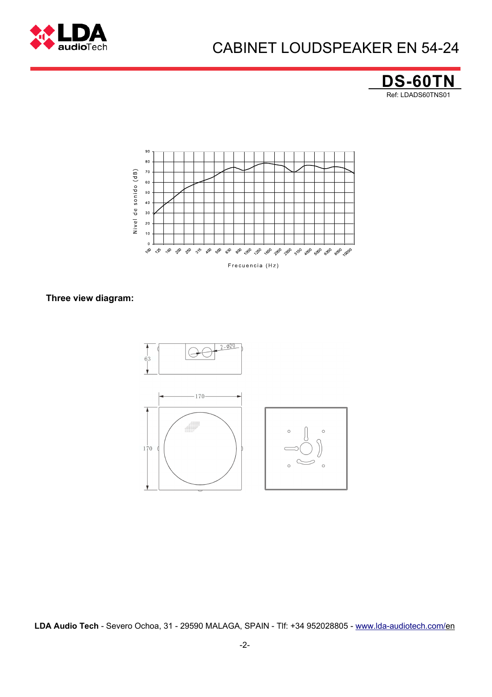

## CABINET LOUDSPEAKER EN 54-24





#### **Three view diagram:**



**LDA Audio Tech** - Severo Ochoa, 31 - 29590 MALAGA, SPAIN - Tlf: +34 952028805 - [www.lda-audiotech.com/en](http://www.lda-audiotech.com/en)